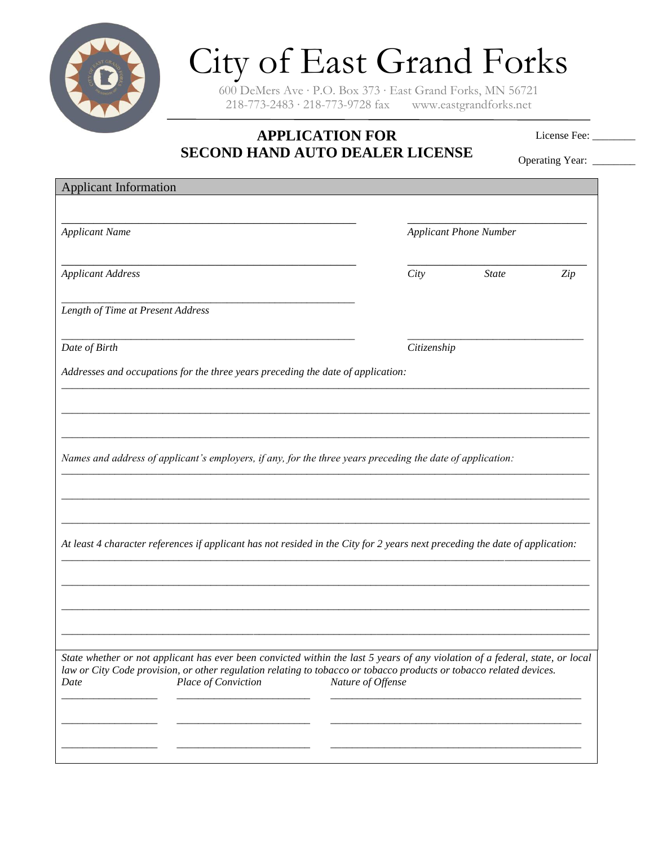

## City of East Grand Forks

600 DeMers Ave ∙ P.O. Box 373 ∙ East Grand Forks, MN 56721 218-773-2483 ∙ 218-773-9728 fax www.eastgrandforks.net

## **APPLICATION FOR SECOND HAND AUTO DEALER LICENSE**

License Fee: \_\_\_\_\_\_\_

Operating Year: \_\_\_\_\_\_\_\_

| <b>Applicant Information</b>                                                                                                                                                                                                                         |                   |                               |     |
|------------------------------------------------------------------------------------------------------------------------------------------------------------------------------------------------------------------------------------------------------|-------------------|-------------------------------|-----|
|                                                                                                                                                                                                                                                      |                   |                               |     |
| <b>Applicant Name</b>                                                                                                                                                                                                                                |                   | <b>Applicant Phone Number</b> |     |
|                                                                                                                                                                                                                                                      |                   |                               |     |
| <b>Applicant Address</b>                                                                                                                                                                                                                             | City              | <b>State</b>                  | Zip |
| Length of Time at Present Address                                                                                                                                                                                                                    |                   |                               |     |
| Date of Birth                                                                                                                                                                                                                                        | Citizenship       |                               |     |
| Addresses and occupations for the three years preceding the date of application:                                                                                                                                                                     |                   |                               |     |
|                                                                                                                                                                                                                                                      |                   |                               |     |
|                                                                                                                                                                                                                                                      |                   |                               |     |
|                                                                                                                                                                                                                                                      |                   |                               |     |
| Names and address of applicant's employers, if any, for the three years preceding the date of application:                                                                                                                                           |                   |                               |     |
|                                                                                                                                                                                                                                                      |                   |                               |     |
|                                                                                                                                                                                                                                                      |                   |                               |     |
| At least 4 character references if applicant has not resided in the City for 2 years next preceding the date of application:                                                                                                                         |                   |                               |     |
|                                                                                                                                                                                                                                                      |                   |                               |     |
|                                                                                                                                                                                                                                                      |                   |                               |     |
|                                                                                                                                                                                                                                                      |                   |                               |     |
|                                                                                                                                                                                                                                                      |                   |                               |     |
| State whether or not applicant has ever been convicted within the last 5 years of any violation of a federal, state, or local<br>law or City Code provision, or other regulation relating to tobacco or tobacco products or tobacco related devices. |                   |                               |     |
| Place of Conviction<br>Date                                                                                                                                                                                                                          | Nature of Offense |                               |     |
|                                                                                                                                                                                                                                                      |                   |                               |     |
|                                                                                                                                                                                                                                                      |                   |                               |     |
|                                                                                                                                                                                                                                                      |                   |                               |     |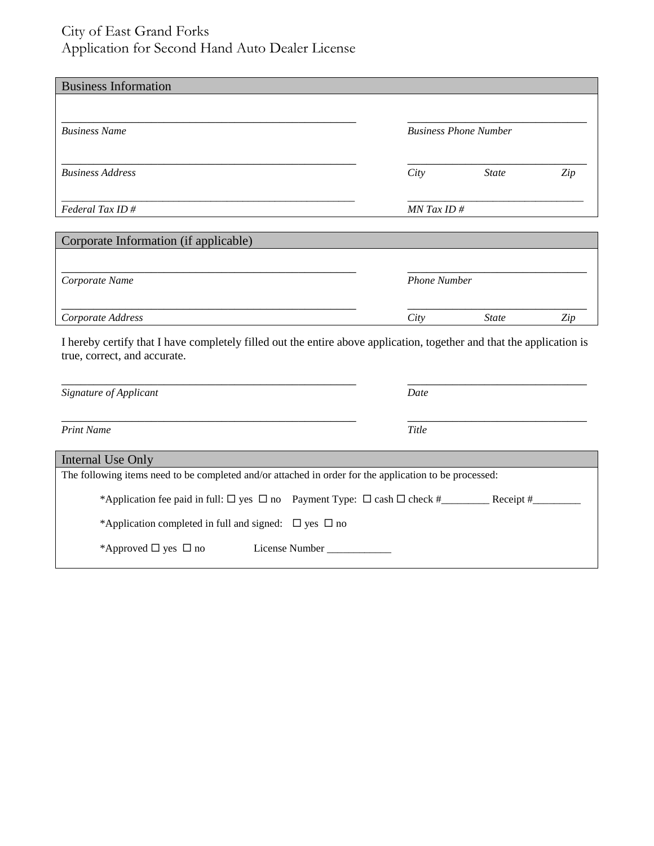## City of East Grand Forks Application for Second Hand Auto Dealer License

| <b>Business Information</b>           |               |                              |     |  |
|---------------------------------------|---------------|------------------------------|-----|--|
| <b>Business Name</b>                  |               | <b>Business Phone Number</b> |     |  |
| <b>Business Address</b>               | City          | <b>State</b>                 | Zip |  |
| Federal Tax ID $#$                    | $MN$ Tax ID # |                              |     |  |
| Corporate Information (if applicable) |               |                              |     |  |
| Corporate Name                        |               | <b>Phone Number</b>          |     |  |
| Corporate Address                     | City          | <b>State</b>                 | Zip |  |

I hereby certify that I have completely filled out the entire above application, together and that the application is true, correct, and accurate.

| Signature of Applicant                                                                                 | Date      |  |  |  |
|--------------------------------------------------------------------------------------------------------|-----------|--|--|--|
| <b>Print Name</b>                                                                                      | Title     |  |  |  |
| Internal Use Only                                                                                      |           |  |  |  |
| The following items need to be completed and/or attached in order for the application to be processed: |           |  |  |  |
| *Application fee paid in full: $\Box$ yes $\Box$ no Payment Type: $\Box$ cash $\Box$ check #           | Receipt # |  |  |  |
| *Application completed in full and signed: $\Box$ yes $\Box$ no                                        |           |  |  |  |
| *Approved $\Box$ yes $\Box$ no<br>License Number                                                       |           |  |  |  |